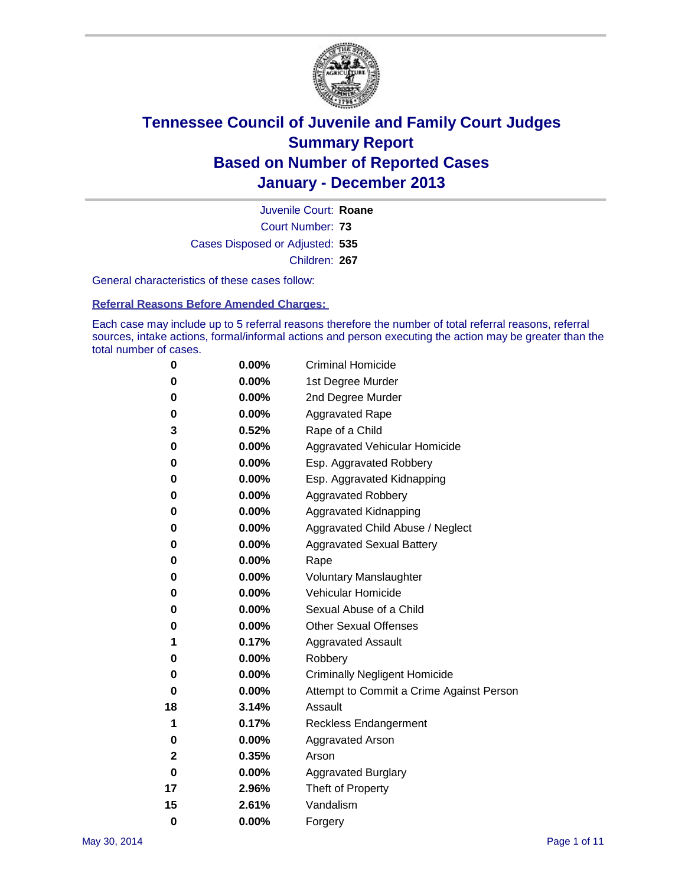

Court Number: **73** Juvenile Court: **Roane** Cases Disposed or Adjusted: **535** Children: **267**

General characteristics of these cases follow:

**Referral Reasons Before Amended Charges:** 

Each case may include up to 5 referral reasons therefore the number of total referral reasons, referral sources, intake actions, formal/informal actions and person executing the action may be greater than the total number of cases.

| 0        | 0.00%    | <b>Criminal Homicide</b>                 |
|----------|----------|------------------------------------------|
| 0        | 0.00%    | 1st Degree Murder                        |
| 0        | 0.00%    | 2nd Degree Murder                        |
| 0        | $0.00\%$ | <b>Aggravated Rape</b>                   |
| 3        | 0.52%    | Rape of a Child                          |
| 0        | $0.00\%$ | <b>Aggravated Vehicular Homicide</b>     |
| 0        | 0.00%    | Esp. Aggravated Robbery                  |
| 0        | 0.00%    | Esp. Aggravated Kidnapping               |
| 0        | $0.00\%$ | <b>Aggravated Robbery</b>                |
| 0        | 0.00%    | Aggravated Kidnapping                    |
| 0        | 0.00%    | Aggravated Child Abuse / Neglect         |
| 0        | 0.00%    | <b>Aggravated Sexual Battery</b>         |
| 0        | 0.00%    | Rape                                     |
| 0        | 0.00%    | <b>Voluntary Manslaughter</b>            |
| 0        | 0.00%    | Vehicular Homicide                       |
| 0        | 0.00%    | Sexual Abuse of a Child                  |
| 0        | 0.00%    | <b>Other Sexual Offenses</b>             |
| 1        | 0.17%    | <b>Aggravated Assault</b>                |
| 0        | 0.00%    | Robbery                                  |
| 0        | 0.00%    | <b>Criminally Negligent Homicide</b>     |
| 0        | 0.00%    | Attempt to Commit a Crime Against Person |
| 18       | 3.14%    | Assault                                  |
| 1        | 0.17%    | <b>Reckless Endangerment</b>             |
| 0        | 0.00%    | <b>Aggravated Arson</b>                  |
| 2        | 0.35%    | Arson                                    |
| 0        | 0.00%    | <b>Aggravated Burglary</b>               |
| 17       | 2.96%    | Theft of Property                        |
| 15       | 2.61%    | Vandalism                                |
| $\bf{0}$ | 0.00%    | Forgery                                  |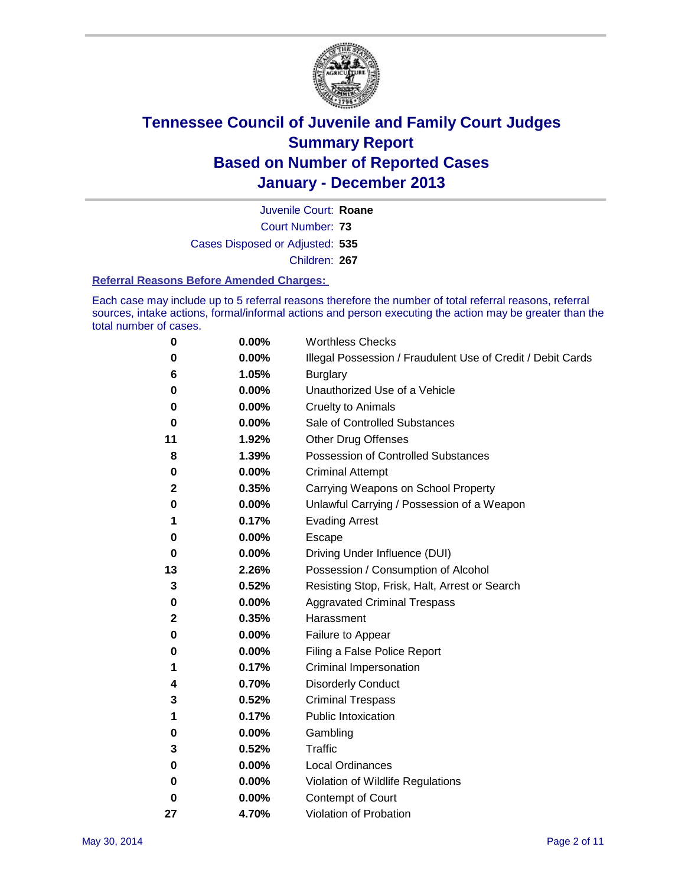

Court Number: **73** Juvenile Court: **Roane** Cases Disposed or Adjusted: **535** Children: **267**

### **Referral Reasons Before Amended Charges:**

Each case may include up to 5 referral reasons therefore the number of total referral reasons, referral sources, intake actions, formal/informal actions and person executing the action may be greater than the total number of cases.

| 0  | 0.00% | <b>Worthless Checks</b>                                     |
|----|-------|-------------------------------------------------------------|
| 0  | 0.00% | Illegal Possession / Fraudulent Use of Credit / Debit Cards |
| 6  | 1.05% | <b>Burglary</b>                                             |
| 0  | 0.00% | Unauthorized Use of a Vehicle                               |
| 0  | 0.00% | <b>Cruelty to Animals</b>                                   |
| 0  | 0.00% | Sale of Controlled Substances                               |
| 11 | 1.92% | <b>Other Drug Offenses</b>                                  |
| 8  | 1.39% | Possession of Controlled Substances                         |
| 0  | 0.00% | <b>Criminal Attempt</b>                                     |
| 2  | 0.35% | Carrying Weapons on School Property                         |
| 0  | 0.00% | Unlawful Carrying / Possession of a Weapon                  |
| 1  | 0.17% | <b>Evading Arrest</b>                                       |
| 0  | 0.00% | Escape                                                      |
| 0  | 0.00% | Driving Under Influence (DUI)                               |
| 13 | 2.26% | Possession / Consumption of Alcohol                         |
| 3  | 0.52% | Resisting Stop, Frisk, Halt, Arrest or Search               |
| 0  | 0.00% | <b>Aggravated Criminal Trespass</b>                         |
| 2  | 0.35% | Harassment                                                  |
| 0  | 0.00% | Failure to Appear                                           |
| 0  | 0.00% | Filing a False Police Report                                |
| 1  | 0.17% | Criminal Impersonation                                      |
| 4  | 0.70% | <b>Disorderly Conduct</b>                                   |
| 3  | 0.52% | <b>Criminal Trespass</b>                                    |
| 1  | 0.17% | <b>Public Intoxication</b>                                  |
| 0  | 0.00% | Gambling                                                    |
| 3  | 0.52% | Traffic                                                     |
| 0  | 0.00% | <b>Local Ordinances</b>                                     |
| 0  | 0.00% | Violation of Wildlife Regulations                           |
| 0  | 0.00% | Contempt of Court                                           |
| 27 | 4.70% | Violation of Probation                                      |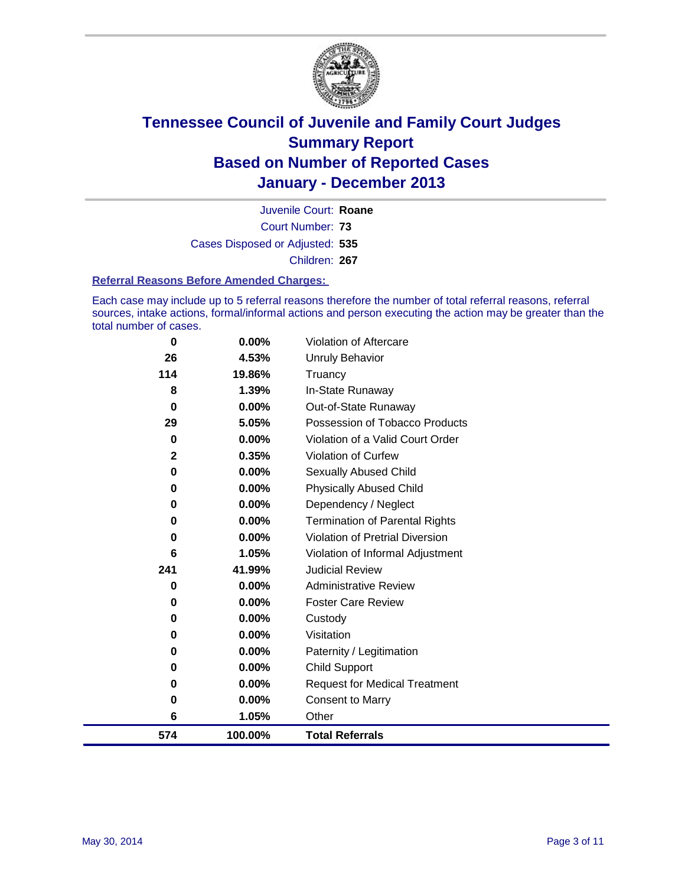

Court Number: **73** Juvenile Court: **Roane** Cases Disposed or Adjusted: **535** Children: **267**

### **Referral Reasons Before Amended Charges:**

Each case may include up to 5 referral reasons therefore the number of total referral reasons, referral sources, intake actions, formal/informal actions and person executing the action may be greater than the total number of cases.

| 574          | 100.00%         | <b>Total Referrals</b>                 |
|--------------|-----------------|----------------------------------------|
| 6            | 1.05%           | Other                                  |
| 0            | $0.00\%$        | <b>Consent to Marry</b>                |
| 0            | 0.00%           | <b>Request for Medical Treatment</b>   |
| 0            | 0.00%           | Child Support                          |
| $\bf{0}$     | 0.00%           | Paternity / Legitimation               |
| 0            | 0.00%           | Visitation                             |
| 0            | 0.00%           | Custody                                |
| 0            | 0.00%           | <b>Foster Care Review</b>              |
| 0            | 0.00%           | <b>Administrative Review</b>           |
| 241          | 41.99%          | <b>Judicial Review</b>                 |
| 6            | 1.05%           | Violation of Informal Adjustment       |
| 0            | 0.00%           | <b>Violation of Pretrial Diversion</b> |
| 0            | 0.00%           | <b>Termination of Parental Rights</b>  |
| 0            | 0.00%           | Dependency / Neglect                   |
| 0            | 0.00%           | <b>Physically Abused Child</b>         |
| 0            | 0.00%           | <b>Sexually Abused Child</b>           |
| $\mathbf{2}$ | 0.35%           | Violation of Curfew                    |
| $\bf{0}$     | 0.00%           | Violation of a Valid Court Order       |
| 29           | 5.05%           | Possession of Tobacco Products         |
| $\bf{0}$     | 0.00%           | Out-of-State Runaway                   |
| 8            | 1.39%           | Truancy<br>In-State Runaway            |
| 26<br>114    | 4.53%<br>19.86% | <b>Unruly Behavior</b>                 |
|              |                 |                                        |
| $\bf{0}$     | 0.00%           | Violation of Aftercare                 |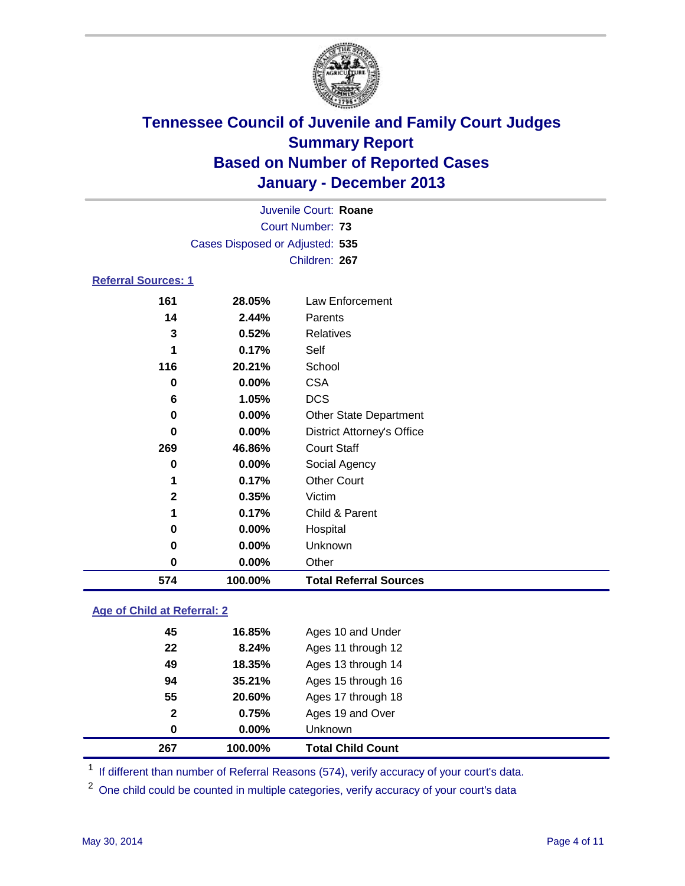

| Juvenile Court: Roane      |                                 |                                   |  |  |
|----------------------------|---------------------------------|-----------------------------------|--|--|
|                            |                                 | Court Number: 73                  |  |  |
|                            | Cases Disposed or Adjusted: 535 |                                   |  |  |
|                            |                                 | Children: 267                     |  |  |
| <b>Referral Sources: 1</b> |                                 |                                   |  |  |
| 161                        | 28.05%                          | Law Enforcement                   |  |  |
| 14                         | 2.44%                           | Parents                           |  |  |
| 3                          | 0.52%                           | <b>Relatives</b>                  |  |  |
| 1                          | 0.17%                           | Self                              |  |  |
| 116                        | 20.21%                          | School                            |  |  |
| 0                          | 0.00%                           | <b>CSA</b>                        |  |  |
| 6                          | 1.05%                           | <b>DCS</b>                        |  |  |
| 0                          | 0.00%                           | <b>Other State Department</b>     |  |  |
| $\bf{0}$                   | $0.00\%$                        | <b>District Attorney's Office</b> |  |  |
| 269                        | 46.86%                          | <b>Court Staff</b>                |  |  |
| 0                          | $0.00\%$                        | Social Agency                     |  |  |
| 1                          | 0.17%                           | <b>Other Court</b>                |  |  |
| $\mathbf{2}$               | 0.35%                           | Victim                            |  |  |
| 1                          | 0.17%                           | Child & Parent                    |  |  |
| 0                          | $0.00\%$                        | Hospital                          |  |  |
| 0                          | 0.00%                           | Unknown                           |  |  |
| 0                          | $0.00\%$                        | Other                             |  |  |
| 574                        | 100.00%                         | <b>Total Referral Sources</b>     |  |  |

### **Age of Child at Referral: 2**

|              |          | <b>Total Child Count</b> |
|--------------|----------|--------------------------|
| 0            | $0.00\%$ | <b>Unknown</b>           |
| $\mathbf{2}$ | 0.75%    | Ages 19 and Over         |
| 55           | 20.60%   | Ages 17 through 18       |
| 94           | 35.21%   | Ages 15 through 16       |
| 49           | 18.35%   | Ages 13 through 14       |
| 22           | 8.24%    | Ages 11 through 12       |
| 45           | 16.85%   | Ages 10 and Under        |
|              |          |                          |

<sup>1</sup> If different than number of Referral Reasons (574), verify accuracy of your court's data.

<sup>2</sup> One child could be counted in multiple categories, verify accuracy of your court's data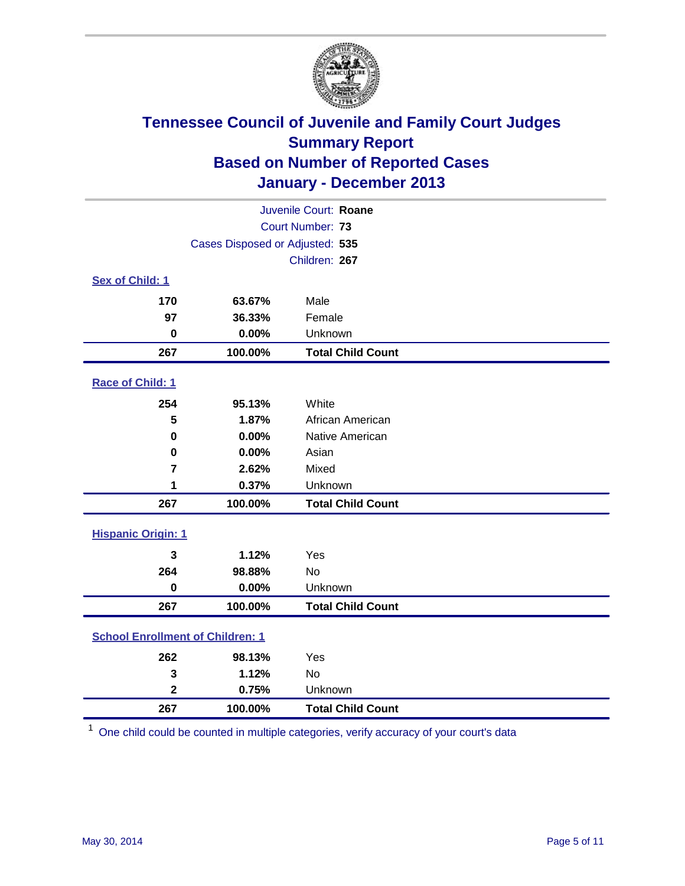

| Juvenile Court: Roane                   |         |                          |  |  |
|-----------------------------------------|---------|--------------------------|--|--|
| Court Number: 73                        |         |                          |  |  |
| Cases Disposed or Adjusted: 535         |         |                          |  |  |
|                                         |         | Children: 267            |  |  |
| Sex of Child: 1                         |         |                          |  |  |
| 170                                     | 63.67%  | Male                     |  |  |
| 97                                      | 36.33%  | Female                   |  |  |
| $\bf{0}$                                | 0.00%   | Unknown                  |  |  |
| 267                                     | 100.00% | <b>Total Child Count</b> |  |  |
| Race of Child: 1                        |         |                          |  |  |
| 254                                     | 95.13%  | White                    |  |  |
| 5                                       | 1.87%   | African American         |  |  |
| $\mathbf 0$                             | 0.00%   | Native American          |  |  |
| 0                                       | 0.00%   | Asian                    |  |  |
| $\overline{7}$                          | 2.62%   | Mixed                    |  |  |
| 1                                       | 0.37%   | Unknown                  |  |  |
| 267                                     | 100.00% | <b>Total Child Count</b> |  |  |
| <b>Hispanic Origin: 1</b>               |         |                          |  |  |
| 3                                       | 1.12%   | Yes                      |  |  |
| 264                                     | 98.88%  | <b>No</b>                |  |  |
| $\mathbf 0$                             | 0.00%   | Unknown                  |  |  |
| 267                                     | 100.00% | <b>Total Child Count</b> |  |  |
| <b>School Enrollment of Children: 1</b> |         |                          |  |  |
| 262                                     | 98.13%  | Yes                      |  |  |
| 3                                       | 1.12%   | <b>No</b>                |  |  |
| $\overline{\mathbf{2}}$                 | 0.75%   | Unknown                  |  |  |
| 267                                     | 100.00% | <b>Total Child Count</b> |  |  |

One child could be counted in multiple categories, verify accuracy of your court's data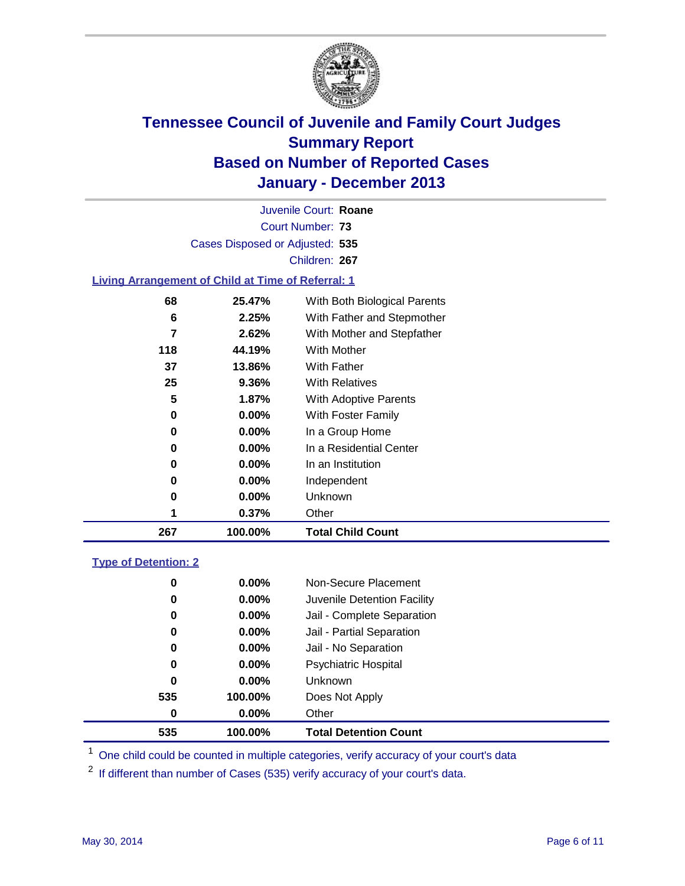

Court Number: **73** Juvenile Court: **Roane** Cases Disposed or Adjusted: **535** Children: **267**

### **Living Arrangement of Child at Time of Referral: 1**

| 267 | 100.00%  | <b>Total Child Count</b>     |  |
|-----|----------|------------------------------|--|
| 1   | 0.37%    | Other                        |  |
| 0   | $0.00\%$ | Unknown                      |  |
| 0   | $0.00\%$ | Independent                  |  |
| 0   | $0.00\%$ | In an Institution            |  |
| 0   | $0.00\%$ | In a Residential Center      |  |
| 0   | $0.00\%$ | In a Group Home              |  |
| 0   | $0.00\%$ | With Foster Family           |  |
| 5   | 1.87%    | With Adoptive Parents        |  |
| 25  | $9.36\%$ | <b>With Relatives</b>        |  |
| 37  | 13.86%   | <b>With Father</b>           |  |
| 118 | 44.19%   | With Mother                  |  |
| 7   | 2.62%    | With Mother and Stepfather   |  |
| 6   | 2.25%    | With Father and Stepmother   |  |
| 68  | 25.47%   | With Both Biological Parents |  |
|     |          |                              |  |

### **Type of Detention: 2**

| 535 | 100.00%  | <b>Total Detention Count</b> |  |
|-----|----------|------------------------------|--|
| 0   | $0.00\%$ | Other                        |  |
| 535 | 100.00%  | Does Not Apply               |  |
| 0   | $0.00\%$ | <b>Unknown</b>               |  |
| 0   | $0.00\%$ | <b>Psychiatric Hospital</b>  |  |
| 0   | 0.00%    | Jail - No Separation         |  |
| 0   | $0.00\%$ | Jail - Partial Separation    |  |
| 0   | 0.00%    | Jail - Complete Separation   |  |
| 0   | $0.00\%$ | Juvenile Detention Facility  |  |
| 0   | $0.00\%$ | Non-Secure Placement         |  |
|     |          |                              |  |

<sup>1</sup> One child could be counted in multiple categories, verify accuracy of your court's data

If different than number of Cases (535) verify accuracy of your court's data.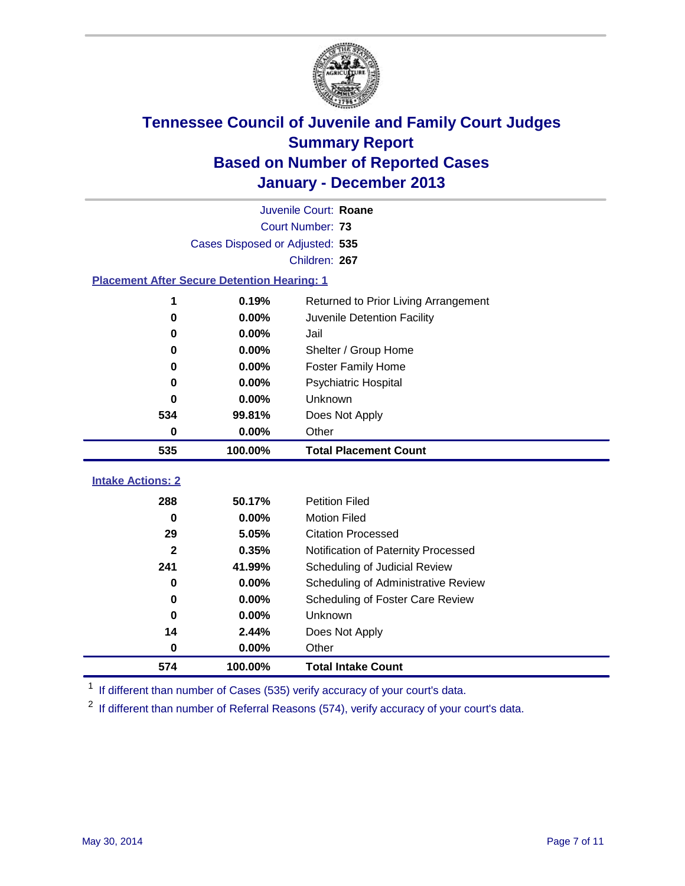

| Juvenile Court: Roane                              |                                 |                                      |  |  |  |
|----------------------------------------------------|---------------------------------|--------------------------------------|--|--|--|
|                                                    |                                 | Court Number: 73                     |  |  |  |
|                                                    | Cases Disposed or Adjusted: 535 |                                      |  |  |  |
|                                                    |                                 | Children: 267                        |  |  |  |
| <b>Placement After Secure Detention Hearing: 1</b> |                                 |                                      |  |  |  |
| 1                                                  | 0.19%                           | Returned to Prior Living Arrangement |  |  |  |
| $\bf{0}$                                           | 0.00%                           | Juvenile Detention Facility          |  |  |  |
| 0                                                  | 0.00%                           | Jail                                 |  |  |  |
| 0                                                  | 0.00%                           | Shelter / Group Home                 |  |  |  |
| 0                                                  | 0.00%                           | <b>Foster Family Home</b>            |  |  |  |
| 0                                                  | 0.00%                           | <b>Psychiatric Hospital</b>          |  |  |  |
| 0                                                  | 0.00%                           | Unknown                              |  |  |  |
| 534                                                | 99.81%                          | Does Not Apply                       |  |  |  |
| 0                                                  | 0.00%                           | Other                                |  |  |  |
| 535                                                | 100.00%                         | <b>Total Placement Count</b>         |  |  |  |
|                                                    |                                 |                                      |  |  |  |
| <b>Intake Actions: 2</b>                           |                                 |                                      |  |  |  |
| 288                                                | 50.17%                          | <b>Petition Filed</b>                |  |  |  |
| 0                                                  | 0.00%                           | <b>Motion Filed</b>                  |  |  |  |
| 29                                                 | 5.05%                           | <b>Citation Processed</b>            |  |  |  |
| $\mathbf{2}$                                       | 0.35%                           | Notification of Paternity Processed  |  |  |  |
| 241                                                | 41.99%                          | Scheduling of Judicial Review        |  |  |  |
| 0                                                  | 0.00%                           | Scheduling of Administrative Review  |  |  |  |
| 0                                                  | 0.00%                           | Scheduling of Foster Care Review     |  |  |  |
| 0                                                  | 0.00%                           | Unknown                              |  |  |  |
| 14                                                 | 2.44%                           | Does Not Apply                       |  |  |  |
| 0                                                  | 0.00%                           | Other                                |  |  |  |
| 574                                                | 100.00%                         | <b>Total Intake Count</b>            |  |  |  |

<sup>1</sup> If different than number of Cases (535) verify accuracy of your court's data.

If different than number of Referral Reasons (574), verify accuracy of your court's data.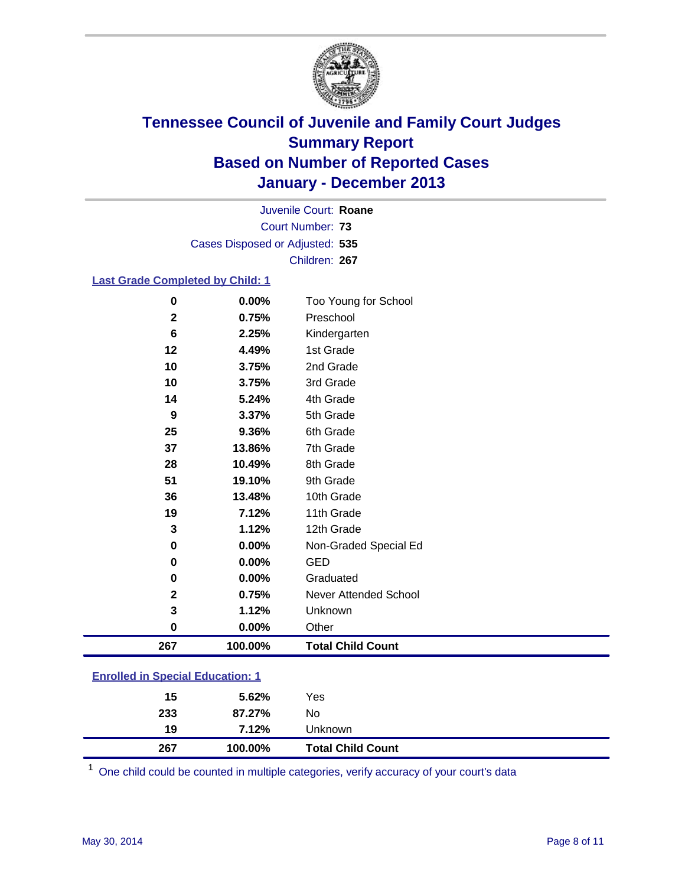

Court Number: **73** Juvenile Court: **Roane** Cases Disposed or Adjusted: **535** Children: **267**

### **Last Grade Completed by Child: 1**

| 267          | 100.00% | <b>Total Child Count</b>     |
|--------------|---------|------------------------------|
| $\bf{0}$     | 0.00%   | Other                        |
| 3            | 1.12%   | Unknown                      |
| $\mathbf{2}$ | 0.75%   | <b>Never Attended School</b> |
| 0            | 0.00%   | Graduated                    |
| 0            | 0.00%   | <b>GED</b>                   |
| 0            | 0.00%   | Non-Graded Special Ed        |
| 3            | 1.12%   | 12th Grade                   |
| 19           | 7.12%   | 11th Grade                   |
| 36           | 13.48%  | 10th Grade                   |
| 51           | 19.10%  | 9th Grade                    |
| 28           | 10.49%  | 8th Grade                    |
| 37           | 13.86%  | 7th Grade                    |
| 25           | 9.36%   | 6th Grade                    |
| 9            | 3.37%   | 5th Grade                    |
| 14           | 5.24%   | 4th Grade                    |
| 10           | 3.75%   | 3rd Grade                    |
| 10           | 3.75%   | 2nd Grade                    |
| 12           | 4.49%   | 1st Grade                    |
| 6            | 2.25%   | Kindergarten                 |
| $\mathbf{2}$ | 0.75%   | Preschool                    |
| 0            | 0.00%   | Too Young for School         |

| <b>Enrolled in Special Education: 1</b> |  |
|-----------------------------------------|--|
|                                         |  |

One child could be counted in multiple categories, verify accuracy of your court's data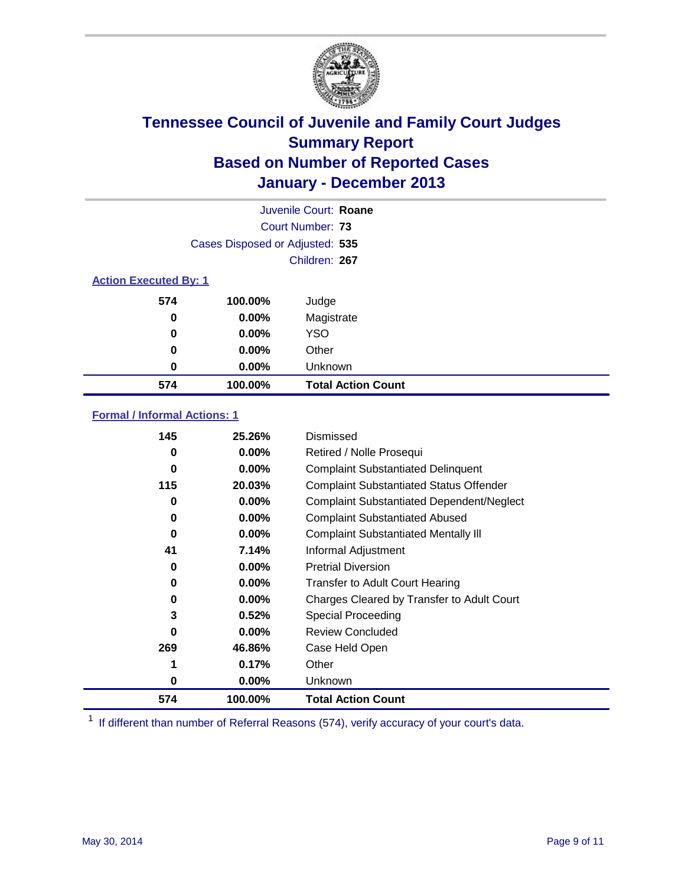

|                              |                                 | Juvenile Court: Roane     |
|------------------------------|---------------------------------|---------------------------|
|                              |                                 | Court Number: 73          |
|                              | Cases Disposed or Adjusted: 535 |                           |
|                              |                                 | Children: 267             |
| <b>Action Executed By: 1</b> |                                 |                           |
| 574                          | 100.00%                         | Judge                     |
| 0                            | $0.00\%$                        | Magistrate                |
| $\bf{0}$                     | $0.00\%$                        | <b>YSO</b>                |
| 0                            | $0.00\%$                        | Other                     |
| 0                            | $0.00\%$                        | Unknown                   |
| 574                          | 100.00%                         | <b>Total Action Count</b> |

### **Formal / Informal Actions: 1**

| 145      | 25.26%   | Dismissed                                        |
|----------|----------|--------------------------------------------------|
| 0        | $0.00\%$ | Retired / Nolle Prosequi                         |
| 0        | $0.00\%$ | <b>Complaint Substantiated Delinquent</b>        |
| 115      | 20.03%   | <b>Complaint Substantiated Status Offender</b>   |
| 0        | $0.00\%$ | <b>Complaint Substantiated Dependent/Neglect</b> |
| 0        | $0.00\%$ | <b>Complaint Substantiated Abused</b>            |
| $\bf{0}$ | $0.00\%$ | <b>Complaint Substantiated Mentally III</b>      |
| 41       | 7.14%    | Informal Adjustment                              |
| 0        | $0.00\%$ | <b>Pretrial Diversion</b>                        |
| 0        | $0.00\%$ | <b>Transfer to Adult Court Hearing</b>           |
| 0        | $0.00\%$ | Charges Cleared by Transfer to Adult Court       |
| 3        | 0.52%    | Special Proceeding                               |
| $\bf{0}$ | $0.00\%$ | <b>Review Concluded</b>                          |
| 269      | 46.86%   | Case Held Open                                   |
|          | 0.17%    | Other                                            |
| 0        | $0.00\%$ | Unknown                                          |
| 574      | 100.00%  | <b>Total Action Count</b>                        |

<sup>1</sup> If different than number of Referral Reasons (574), verify accuracy of your court's data.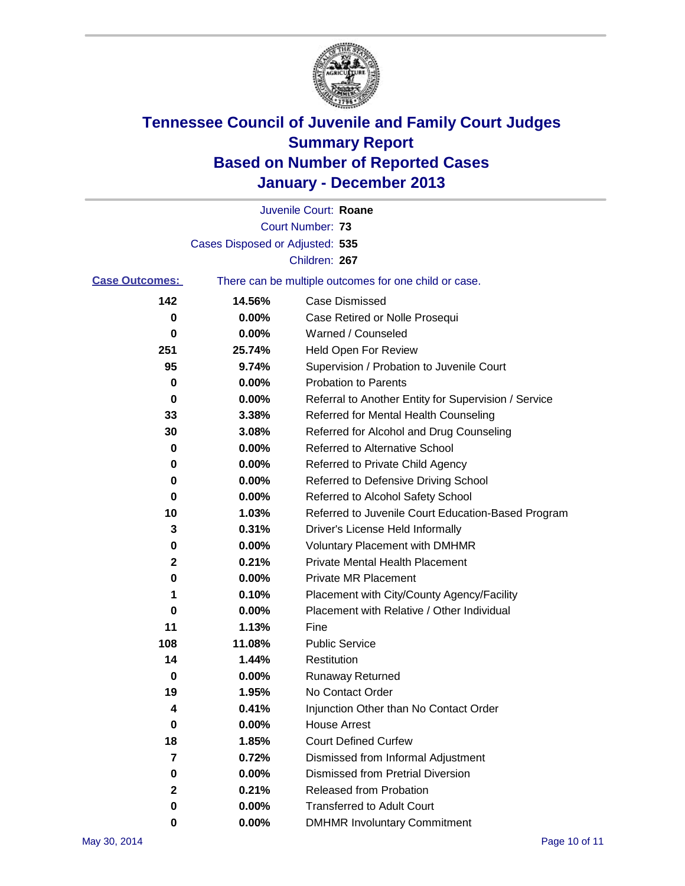

|                       |                                 | Juvenile Court: Roane                                 |
|-----------------------|---------------------------------|-------------------------------------------------------|
|                       |                                 | Court Number: 73                                      |
|                       | Cases Disposed or Adjusted: 535 |                                                       |
|                       |                                 | Children: 267                                         |
| <b>Case Outcomes:</b> |                                 | There can be multiple outcomes for one child or case. |
| 142                   | 14.56%                          | Case Dismissed                                        |
| 0                     | $0.00\%$                        | Case Retired or Nolle Prosequi                        |
| 0                     | 0.00%                           | Warned / Counseled                                    |
| 251                   | 25.74%                          | Held Open For Review                                  |
| 95                    | 9.74%                           | Supervision / Probation to Juvenile Court             |
| 0                     | 0.00%                           | <b>Probation to Parents</b>                           |
| 0                     | 0.00%                           | Referral to Another Entity for Supervision / Service  |
| 33                    | 3.38%                           | Referred for Mental Health Counseling                 |
| 30                    | 3.08%                           | Referred for Alcohol and Drug Counseling              |
| 0                     | 0.00%                           | <b>Referred to Alternative School</b>                 |
| 0                     | 0.00%                           | Referred to Private Child Agency                      |
| 0                     | 0.00%                           | Referred to Defensive Driving School                  |
| 0                     | 0.00%                           | Referred to Alcohol Safety School                     |
| 10                    | 1.03%                           | Referred to Juvenile Court Education-Based Program    |
| 3                     | 0.31%                           | Driver's License Held Informally                      |
| 0                     | 0.00%                           | <b>Voluntary Placement with DMHMR</b>                 |
| 2                     | 0.21%                           | <b>Private Mental Health Placement</b>                |
| 0                     | 0.00%                           | <b>Private MR Placement</b>                           |
| 1                     | 0.10%                           | Placement with City/County Agency/Facility            |
| 0                     | 0.00%                           | Placement with Relative / Other Individual            |
| 11                    | 1.13%                           | Fine                                                  |
| 108                   | 11.08%                          | <b>Public Service</b>                                 |
| 14                    | 1.44%                           | Restitution                                           |
| 0                     | 0.00%                           | <b>Runaway Returned</b>                               |
| 19                    | 1.95%                           | No Contact Order                                      |
| 4                     | 0.41%                           | Injunction Other than No Contact Order                |
| 0                     | 0.00%                           | <b>House Arrest</b>                                   |
| 18                    | 1.85%                           | <b>Court Defined Curfew</b>                           |
| 7                     | 0.72%                           | Dismissed from Informal Adjustment                    |
| 0                     | 0.00%                           | Dismissed from Pretrial Diversion                     |
| 2                     | 0.21%                           | Released from Probation                               |
| 0                     | 0.00%                           | <b>Transferred to Adult Court</b>                     |
| 0                     | $0.00\%$                        | <b>DMHMR Involuntary Commitment</b>                   |